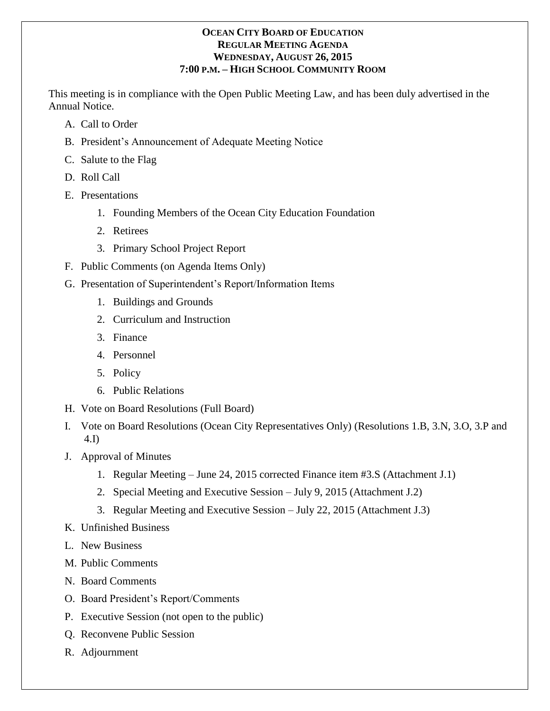# **OCEAN CITY BOARD OF EDUCATION REGULAR MEETING AGENDA WEDNESDAY, AUGUST 26, 2015 7:00 P.M. – HIGH SCHOOL COMMUNITY ROOM**

This meeting is in compliance with the Open Public Meeting Law, and has been duly advertised in the Annual Notice.

- A. Call to Order
- B. President's Announcement of Adequate Meeting Notice
- C. Salute to the Flag
- D. Roll Call
- E. Presentations
	- 1. Founding Members of the Ocean City Education Foundation
	- 2. Retirees
	- 3. Primary School Project Report
- F. Public Comments (on Agenda Items Only)
- G. Presentation of Superintendent's Report/Information Items
	- 1. Buildings and Grounds
	- 2. Curriculum and Instruction
	- 3. Finance
	- 4. Personnel
	- 5. Policy
	- 6. Public Relations
- H. Vote on Board Resolutions (Full Board)
- I. Vote on Board Resolutions (Ocean City Representatives Only) (Resolutions 1.B, 3.N, 3.O, 3.P and 4.I)
- J. Approval of Minutes
	- 1. Regular Meeting June 24, 2015 corrected Finance item #3.S (Attachment J.1)
	- 2. Special Meeting and Executive Session July 9, 2015 (Attachment J.2)
	- 3. Regular Meeting and Executive Session July 22, 2015 (Attachment J.3)
- K. Unfinished Business
- L. New Business
- M. Public Comments
- N. Board Comments
- O. Board President's Report/Comments
- P. Executive Session (not open to the public)
- Q. Reconvene Public Session
- R. Adjournment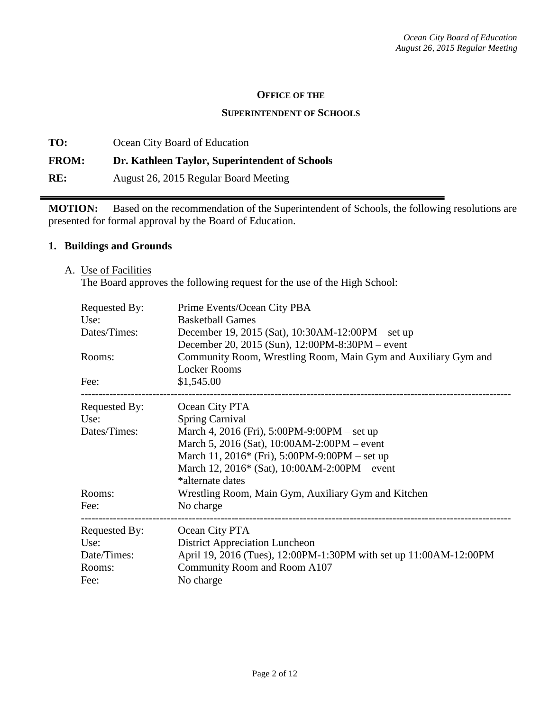#### **OFFICE OF THE**

#### **SUPERINTENDENT OF SCHOOLS**

**TO:** Ocean City Board of Education **FROM: Dr. Kathleen Taylor, Superintendent of Schools RE:** August 26, 2015 Regular Board Meeting

**MOTION:** Based on the recommendation of the Superintendent of Schools, the following resolutions are presented for formal approval by the Board of Education.

## **1. Buildings and Grounds**

A. Use of Facilities

The Board approves the following request for the use of the High School:

| <b>Requested By:</b> | Prime Events/Ocean City PBA                                       |  |  |  |
|----------------------|-------------------------------------------------------------------|--|--|--|
| Use:                 | <b>Basketball Games</b>                                           |  |  |  |
| Dates/Times:         | December 19, 2015 (Sat), 10:30AM-12:00PM – set up                 |  |  |  |
|                      | December 20, 2015 (Sun), 12:00PM-8:30PM – event                   |  |  |  |
| Rooms:               | Community Room, Wrestling Room, Main Gym and Auxiliary Gym and    |  |  |  |
|                      | <b>Locker Rooms</b>                                               |  |  |  |
| Fee:                 | \$1,545.00                                                        |  |  |  |
| Requested By:        | Ocean City PTA                                                    |  |  |  |
| Use:                 | <b>Spring Carnival</b>                                            |  |  |  |
| Dates/Times:         | March 4, 2016 (Fri), 5:00PM-9:00PM – set up                       |  |  |  |
|                      | March 5, 2016 (Sat), 10:00AM-2:00PM – event                       |  |  |  |
|                      | March 11, 2016* (Fri), 5:00PM-9:00PM – set up                     |  |  |  |
|                      | March 12, 2016* (Sat), 10:00AM-2:00PM – event                     |  |  |  |
|                      | *alternate dates                                                  |  |  |  |
| Rooms:               | Wrestling Room, Main Gym, Auxiliary Gym and Kitchen               |  |  |  |
| Fee:                 | No charge                                                         |  |  |  |
| Requested By:        | Ocean City PTA                                                    |  |  |  |
| Use:                 | <b>District Appreciation Luncheon</b>                             |  |  |  |
| Date/Times:          | April 19, 2016 (Tues), 12:00PM-1:30PM with set up 11:00AM-12:00PM |  |  |  |
| Rooms:               | Community Room and Room A107                                      |  |  |  |
| Fee:                 | No charge                                                         |  |  |  |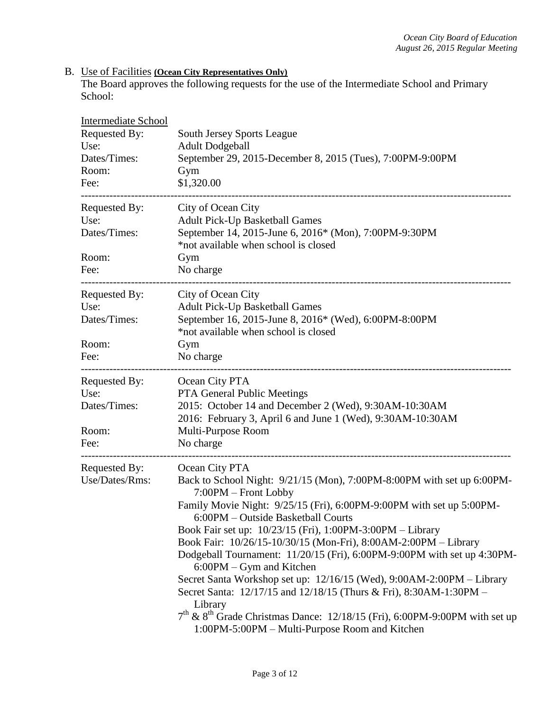#### B. Use of Facilities **(Ocean City Representatives Only)**

The Board approves the following requests for the use of the Intermediate School and Primary School:

| Intermediate School |                                                                                                                                            |  |  |
|---------------------|--------------------------------------------------------------------------------------------------------------------------------------------|--|--|
| Requested By:       | <b>South Jersey Sports League</b>                                                                                                          |  |  |
| Use:                | <b>Adult Dodgeball</b>                                                                                                                     |  |  |
| Dates/Times:        | September 29, 2015-December 8, 2015 (Tues), 7:00PM-9:00PM                                                                                  |  |  |
| Room:               | Gym                                                                                                                                        |  |  |
| Fee:                | \$1,320.00<br>------------------------------------                                                                                         |  |  |
| Requested By:       | City of Ocean City                                                                                                                         |  |  |
| Use:                | <b>Adult Pick-Up Basketball Games</b>                                                                                                      |  |  |
| Dates/Times:        | September 14, 2015-June 6, 2016* (Mon), 7:00PM-9:30PM<br>*not available when school is closed                                              |  |  |
| Room:               | Gym                                                                                                                                        |  |  |
| Fee:                | No charge                                                                                                                                  |  |  |
| Requested By:       | City of Ocean City                                                                                                                         |  |  |
| Use:                | <b>Adult Pick-Up Basketball Games</b>                                                                                                      |  |  |
| Dates/Times:        | September 16, 2015-June 8, 2016* (Wed), 6:00PM-8:00PM                                                                                      |  |  |
|                     | *not available when school is closed                                                                                                       |  |  |
| Room:               | Gym                                                                                                                                        |  |  |
| Fee:                | No charge                                                                                                                                  |  |  |
| Requested By:       | Ocean City PTA                                                                                                                             |  |  |
| Use:                | PTA General Public Meetings                                                                                                                |  |  |
| Dates/Times:        | 2015: October 14 and December 2 (Wed), 9:30AM-10:30AM                                                                                      |  |  |
|                     | 2016: February 3, April 6 and June 1 (Wed), 9:30AM-10:30AM                                                                                 |  |  |
| Room:               | Multi-Purpose Room                                                                                                                         |  |  |
| Fee:                | No charge                                                                                                                                  |  |  |
| Requested By:       | Ocean City PTA                                                                                                                             |  |  |
| Use/Dates/Rms:      | Back to School Night: 9/21/15 (Mon), 7:00PM-8:00PM with set up 6:00PM-<br>7:00PM - Front Lobby                                             |  |  |
|                     | Family Movie Night: 9/25/15 (Fri), 6:00PM-9:00PM with set up 5:00PM-<br>6:00PM - Outside Basketball Courts                                 |  |  |
|                     | Book Fair set up: 10/23/15 (Fri), 1:00PM-3:00PM – Library                                                                                  |  |  |
|                     | Book Fair: 10/26/15-10/30/15 (Mon-Fri), 8:00AM-2:00PM - Library                                                                            |  |  |
|                     | Dodgeball Tournament: 11/20/15 (Fri), 6:00PM-9:00PM with set up 4:30PM-<br>6:00PM - Gym and Kitchen                                        |  |  |
|                     | Secret Santa Workshop set up: 12/16/15 (Wed), 9:00AM-2:00PM – Library                                                                      |  |  |
|                     | Secret Santa: 12/17/15 and 12/18/15 (Thurs & Fri), 8:30AM-1:30PM -<br>Library                                                              |  |  |
|                     | $7th$ & 8 <sup>th</sup> Grade Christmas Dance: 12/18/15 (Fri), 6:00PM-9:00PM with set up<br>1:00PM-5:00PM – Multi-Purpose Room and Kitchen |  |  |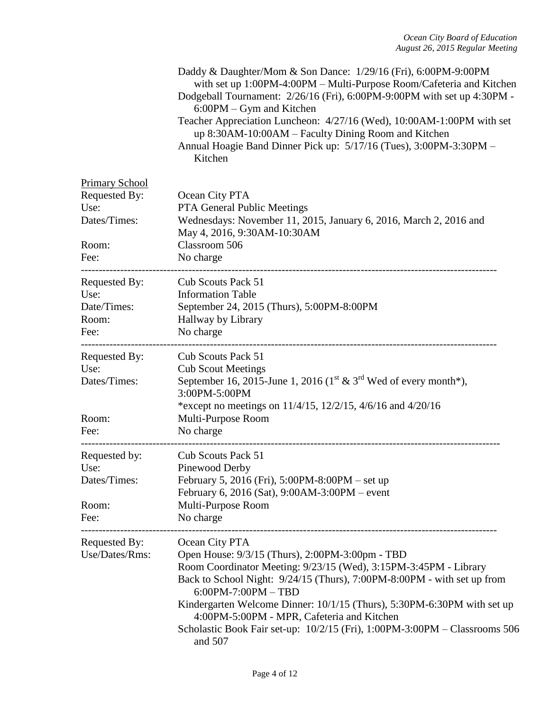|                                                                                 | Daddy & Daughter/Mom & Son Dance: 1/29/16 (Fri), 6:00PM-9:00PM<br>with set up 1:00PM-4:00PM - Multi-Purpose Room/Cafeteria and Kitchen<br>Dodgeball Tournament: 2/26/16 (Fri), 6:00PM-9:00PM with set up 4:30PM -<br>6:00PM - Gym and Kitchen<br>Teacher Appreciation Luncheon: 4/27/16 (Wed), 10:00AM-1:00PM with set<br>up 8:30AM-10:00AM – Faculty Dining Room and Kitchen<br>Annual Hoagie Band Dinner Pick up: 5/17/16 (Tues), 3:00PM-3:30PM -<br>Kitchen |
|---------------------------------------------------------------------------------|----------------------------------------------------------------------------------------------------------------------------------------------------------------------------------------------------------------------------------------------------------------------------------------------------------------------------------------------------------------------------------------------------------------------------------------------------------------|
| <b>Primary School</b><br>Requested By:<br>Use:<br>Dates/Times:<br>Room:<br>Fee: | Ocean City PTA<br><b>PTA General Public Meetings</b><br>Wednesdays: November 11, 2015, January 6, 2016, March 2, 2016 and<br>May 4, 2016, 9:30AM-10:30AM<br>Classroom 506<br>No charge                                                                                                                                                                                                                                                                         |
| <b>Requested By:</b><br>Use:<br>Date/Times:<br>Room:<br>Fee:                    | Cub Scouts Pack 51<br><b>Information Table</b><br>September 24, 2015 (Thurs), 5:00PM-8:00PM<br>Hallway by Library<br>No charge                                                                                                                                                                                                                                                                                                                                 |
| Requested By:<br>Use:<br>Dates/Times:<br>Room:<br>Fee:                          | Cub Scouts Pack 51<br><b>Cub Scout Meetings</b><br>September 16, 2015-June 1, 2016 ( $1^{\text{st}}$ & $3^{\text{rd}}$ Wed of every month*),<br>3:00PM-5:00PM<br>*except no meetings on $11/4/15$ , $12/2/15$ , $4/6/16$ and $4/20/16$<br>Multi-Purpose Room<br>No charge                                                                                                                                                                                      |
| Requested by:<br>Use:<br>Dates/Times:<br>Room:<br>Fee:                          | Cub Scouts Pack 51<br>Pinewood Derby<br>February 5, 2016 (Fri), 5:00PM-8:00PM – set up<br>February 6, 2016 (Sat), 9:00AM-3:00PM – event<br>Multi-Purpose Room<br>No charge                                                                                                                                                                                                                                                                                     |
| Requested By:<br>Use/Dates/Rms:                                                 | Ocean City PTA<br>Open House: 9/3/15 (Thurs), 2:00PM-3:00pm - TBD<br>Room Coordinator Meeting: 9/23/15 (Wed), 3:15PM-3:45PM - Library<br>Back to School Night: 9/24/15 (Thurs), 7:00PM-8:00PM - with set up from<br>$6:00PM - 7:00PM - TBD$<br>Kindergarten Welcome Dinner: 10/1/15 (Thurs), 5:30PM-6:30PM with set up<br>4:00PM-5:00PM - MPR, Cafeteria and Kitchen<br>Scholastic Book Fair set-up: 10/2/15 (Fri), 1:00PM-3:00PM - Classrooms 506<br>and 507  |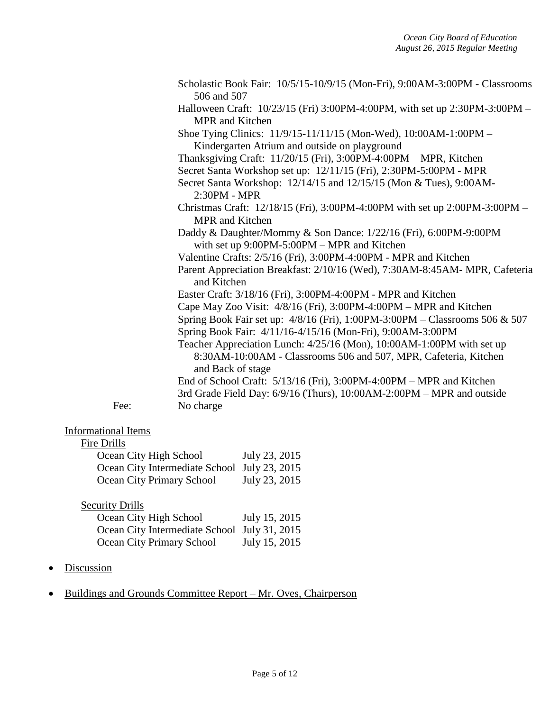|                            | Scholastic Book Fair: 10/5/15-10/9/15 (Mon-Fri), 9:00AM-3:00PM - Classrooms<br>506 and 507                                                                     |
|----------------------------|----------------------------------------------------------------------------------------------------------------------------------------------------------------|
|                            | Halloween Craft: 10/23/15 (Fri) 3:00PM-4:00PM, with set up 2:30PM-3:00PM -<br><b>MPR</b> and Kitchen                                                           |
|                            | Shoe Tying Clinics: 11/9/15-11/11/15 (Mon-Wed), 10:00AM-1:00PM -<br>Kindergarten Atrium and outside on playground                                              |
|                            | Thanksgiving Craft: 11/20/15 (Fri), 3:00PM-4:00PM - MPR, Kitchen                                                                                               |
|                            | Secret Santa Workshop set up: 12/11/15 (Fri), 2:30PM-5:00PM - MPR                                                                                              |
|                            | Secret Santa Workshop: 12/14/15 and 12/15/15 (Mon & Tues), 9:00AM-<br>$2:30PM - MPR$                                                                           |
|                            | Christmas Craft: 12/18/15 (Fri), 3:00PM-4:00PM with set up 2:00PM-3:00PM -<br><b>MPR</b> and Kitchen                                                           |
|                            | Daddy & Daughter/Mommy & Son Dance: 1/22/16 (Fri), 6:00PM-9:00PM<br>with set up 9:00PM-5:00PM - MPR and Kitchen                                                |
|                            | Valentine Crafts: 2/5/16 (Fri), 3:00PM-4:00PM - MPR and Kitchen                                                                                                |
|                            | Parent Appreciation Breakfast: 2/10/16 (Wed), 7:30AM-8:45AM- MPR, Cafeteria<br>and Kitchen                                                                     |
|                            | Easter Craft: 3/18/16 (Fri), 3:00PM-4:00PM - MPR and Kitchen                                                                                                   |
|                            | Cape May Zoo Visit: 4/8/16 (Fri), 3:00PM-4:00PM – MPR and Kitchen                                                                                              |
|                            | Spring Book Fair set up: 4/8/16 (Fri), 1:00PM-3:00PM - Classrooms 506 & 507<br>Spring Book Fair: 4/11/16-4/15/16 (Mon-Fri), 9:00AM-3:00PM                      |
|                            | Teacher Appreciation Lunch: 4/25/16 (Mon), 10:00AM-1:00PM with set up<br>8:30AM-10:00AM - Classrooms 506 and 507, MPR, Cafeteria, Kitchen<br>and Back of stage |
|                            | End of School Craft: 5/13/16 (Fri), 3:00PM-4:00PM - MPR and Kitchen                                                                                            |
|                            | 3rd Grade Field Day: 6/9/16 (Thurs), 10:00AM-2:00PM – MPR and outside                                                                                          |
| Fee:                       | No charge                                                                                                                                                      |
| <b>Informational Items</b> |                                                                                                                                                                |

# Fire Drills

| Ocean City High School                       | July 23, 2015 |
|----------------------------------------------|---------------|
| Ocean City Intermediate School July 23, 2015 |               |
| Ocean City Primary School                    | July 23, 2015 |
|                                              |               |

# **Security Drills** Ocean City High School July 15, 2015 Ocean City Intermediate School July 31, 2015 Ocean City Primary School July 15, 2015

- Discussion
- Buildings and Grounds Committee Report Mr. Oves, Chairperson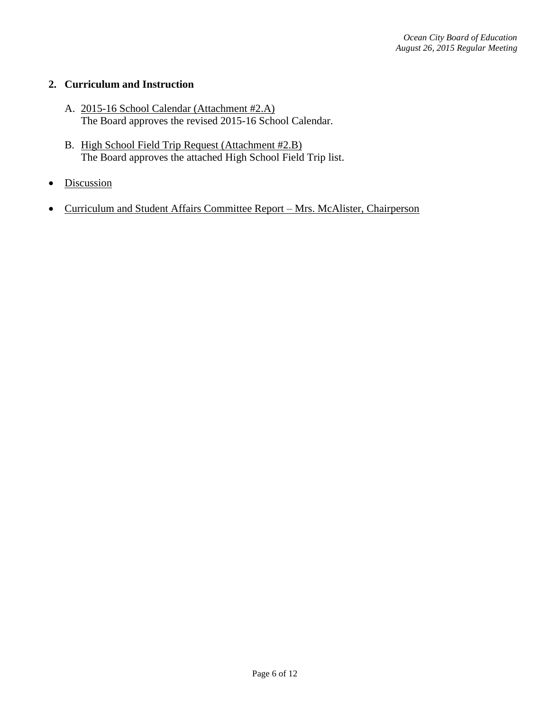## **2. Curriculum and Instruction**

- A. 2015-16 School Calendar (Attachment #2.A) The Board approves the revised 2015-16 School Calendar.
- B. High School Field Trip Request (Attachment #2.B) The Board approves the attached High School Field Trip list.
- Discussion
- Curriculum and Student Affairs Committee Report Mrs. McAlister, Chairperson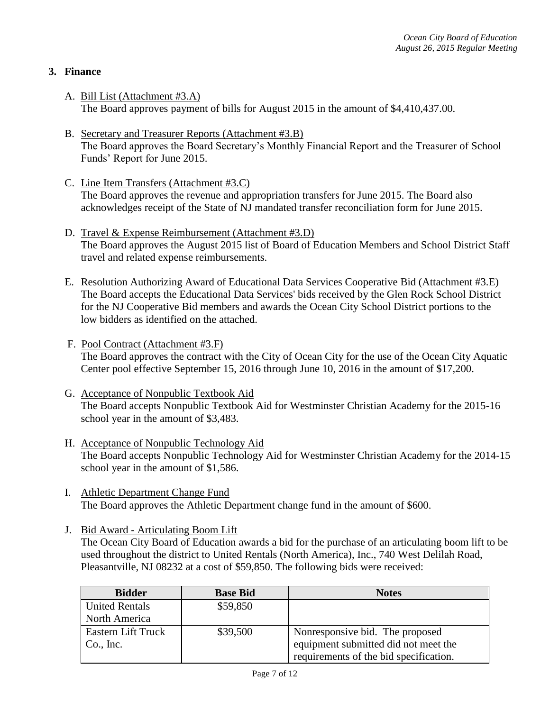# **3. Finance**

- A. Bill List (Attachment #3.A) The Board approves payment of bills for August 2015 in the amount of \$4,410,437.00.
- B. Secretary and Treasurer Reports (Attachment #3.B) The Board approves the Board Secretary's Monthly Financial Report and the Treasurer of School Funds' Report for June 2015.
- C. Line Item Transfers (Attachment #3.C) The Board approves the revenue and appropriation transfers for June 2015. The Board also acknowledges receipt of the State of NJ mandated transfer reconciliation form for June 2015.
- D. Travel & Expense Reimbursement (Attachment #3.D) The Board approves the August 2015 list of Board of Education Members and School District Staff travel and related expense reimbursements.
- E. Resolution Authorizing Award of Educational Data Services Cooperative Bid (Attachment #3.E) The Board accepts the Educational Data Services' bids received by the Glen Rock School District for the NJ Cooperative Bid members and awards the Ocean City School District portions to the low bidders as identified on the attached.
- F. Pool Contract (Attachment #3.F) The Board approves the contract with the City of Ocean City for the use of the Ocean City Aquatic Center pool effective September 15, 2016 through June 10, 2016 in the amount of \$17,200.
- G. Acceptance of Nonpublic Textbook Aid The Board accepts Nonpublic Textbook Aid for Westminster Christian Academy for the 2015-16 school year in the amount of \$3,483.
- H. Acceptance of Nonpublic Technology Aid The Board accepts Nonpublic Technology Aid for Westminster Christian Academy for the 2014-15 school year in the amount of \$1,586.
- I. Athletic Department Change Fund The Board approves the Athletic Department change fund in the amount of \$600.
- J. Bid Award Articulating Boom Lift

The Ocean City Board of Education awards a bid for the purchase of an articulating boom lift to be used throughout the district to United Rentals (North America), Inc., 740 West Delilah Road, Pleasantville, NJ 08232 at a cost of \$59,850. The following bids were received:

| <b>Bidder</b>             | <b>Base Bid</b> | <b>Notes</b>                           |
|---------------------------|-----------------|----------------------------------------|
| <b>United Rentals</b>     | \$59,850        |                                        |
| North America             |                 |                                        |
| <b>Eastern Lift Truck</b> | \$39,500        | Nonresponsive bid. The proposed        |
| Co., Inc.                 |                 | equipment submitted did not meet the   |
|                           |                 | requirements of the bid specification. |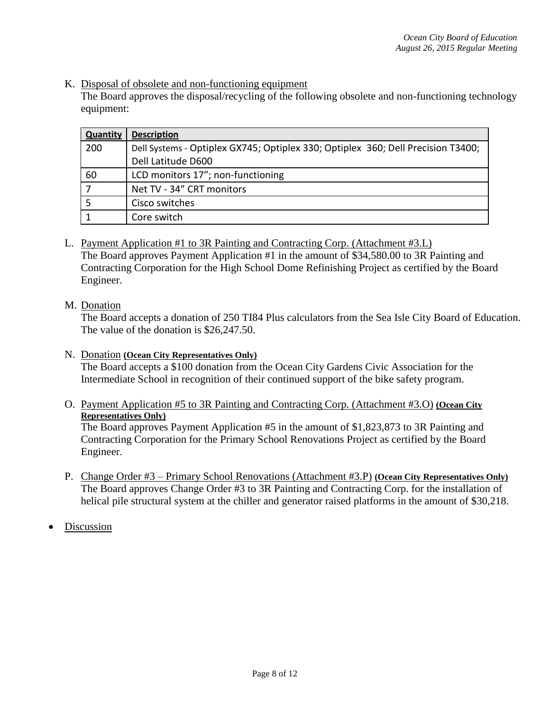K. Disposal of obsolete and non-functioning equipment

The Board approves the disposal/recycling of the following obsolete and non-functioning technology equipment:

| <b>Quantity</b>          | <b>Description</b>                                                               |
|--------------------------|----------------------------------------------------------------------------------|
| 200                      | Dell Systems - Optiplex GX745; Optiplex 330; Optiplex 360; Dell Precision T3400; |
|                          | Dell Latitude D600                                                               |
| 60                       | LCD monitors 17"; non-functioning                                                |
| $\overline{\phantom{a}}$ | Net TV - 34" CRT monitors                                                        |
|                          | Cisco switches                                                                   |
|                          | Core switch                                                                      |

- L. Payment Application #1 to 3R Painting and Contracting Corp. (Attachment #3.L) The Board approves Payment Application #1 in the amount of \$34,580.00 to 3R Painting and Contracting Corporation for the High School Dome Refinishing Project as certified by the Board Engineer.
- M. Donation

The Board accepts a donation of 250 TI84 Plus calculators from the Sea Isle City Board of Education. The value of the donation is \$26,247.50.

## N. Donation **(Ocean City Representatives Only)**

The Board accepts a \$100 donation from the Ocean City Gardens Civic Association for the Intermediate School in recognition of their continued support of the bike safety program.

O. Payment Application #5 to 3R Painting and Contracting Corp. (Attachment #3.O) **(Ocean City Representatives Only)** 

The Board approves Payment Application #5 in the amount of \$1,823,873 to 3R Painting and Contracting Corporation for the Primary School Renovations Project as certified by the Board Engineer.

P. Change Order #3 – Primary School Renovations (Attachment #3.P) **(Ocean City Representatives Only)** The Board approves Change Order #3 to 3R Painting and Contracting Corp. for the installation of helical pile structural system at the chiller and generator raised platforms in the amount of \$30,218.

Discussion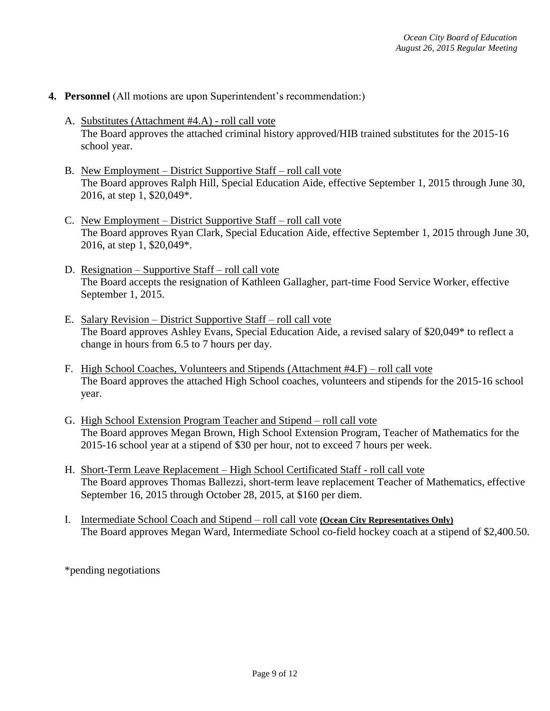## **4. Personnel** (All motions are upon Superintendent's recommendation:)

- A. Substitutes (Attachment #4.A) roll call vote The Board approves the attached criminal history approved/HIB trained substitutes for the 2015-16 school year.
- B. New Employment District Supportive Staff roll call vote The Board approves Ralph Hill, Special Education Aide, effective September 1, 2015 through June 30, 2016, at step 1, \$20,049\*.
- C. New Employment District Supportive Staff roll call vote The Board approves Ryan Clark, Special Education Aide, effective September 1, 2015 through June 30, 2016, at step 1, \$20,049\*.
- D. Resignation Supportive Staff roll call vote The Board accepts the resignation of Kathleen Gallagher, part-time Food Service Worker, effective September 1, 2015.
- E. Salary Revision District Supportive Staff roll call vote The Board approves Ashley Evans, Special Education Aide, a revised salary of \$20,049\* to reflect a change in hours from 6.5 to 7 hours per day.
- F. High School Coaches, Volunteers and Stipends (Attachment #4.F) roll call vote The Board approves the attached High School coaches, volunteers and stipends for the 2015-16 school year.
- G. High School Extension Program Teacher and Stipend roll call vote The Board approves Megan Brown, High School Extension Program, Teacher of Mathematics for the 2015-16 school year at a stipend of \$30 per hour, not to exceed 7 hours per week.
- H. Short-Term Leave Replacement High School Certificated Staff roll call vote The Board approves Thomas Ballezzi, short-term leave replacement Teacher of Mathematics, effective September 16, 2015 through October 28, 2015, at \$160 per diem.
- I. Intermediate School Coach and Stipend roll call vote **(Ocean City Representatives Only)** The Board approves Megan Ward, Intermediate School co-field hockey coach at a stipend of \$2,400.50.

\*pending negotiations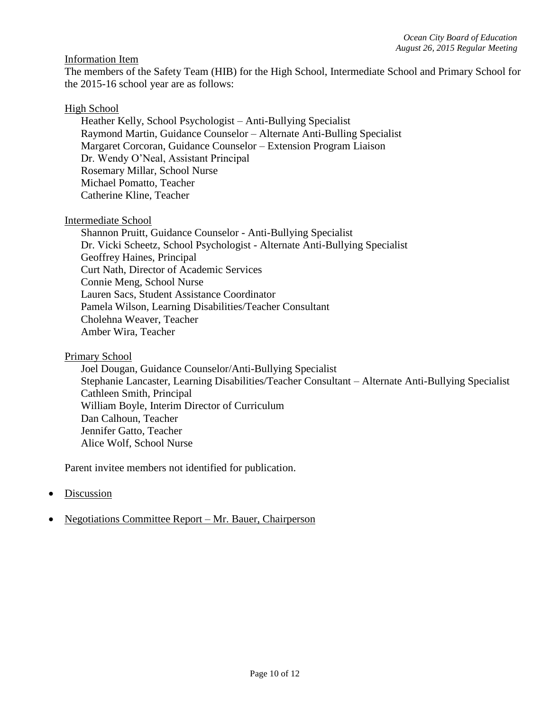## Information Item

The members of the Safety Team (HIB) for the High School, Intermediate School and Primary School for the 2015-16 school year are as follows:

### High School

Heather Kelly, School Psychologist – Anti-Bullying Specialist Raymond Martin, Guidance Counselor – Alternate Anti-Bulling Specialist Margaret Corcoran, Guidance Counselor – Extension Program Liaison Dr. Wendy O'Neal, Assistant Principal Rosemary Millar, School Nurse Michael Pomatto, Teacher Catherine Kline, Teacher

### Intermediate School

Shannon Pruitt, Guidance Counselor - Anti-Bullying Specialist Dr. Vicki Scheetz, School Psychologist - Alternate Anti-Bullying Specialist Geoffrey Haines, Principal Curt Nath, Director of Academic Services Connie Meng, School Nurse Lauren Sacs, Student Assistance Coordinator Pamela Wilson, Learning Disabilities/Teacher Consultant Cholehna Weaver, Teacher Amber Wira, Teacher

### Primary School

Joel Dougan, Guidance Counselor/Anti-Bullying Specialist Stephanie Lancaster, Learning Disabilities/Teacher Consultant – Alternate Anti-Bullying Specialist Cathleen Smith, Principal William Boyle, Interim Director of Curriculum Dan Calhoun, Teacher Jennifer Gatto, Teacher Alice Wolf, School Nurse

Parent invitee members not identified for publication.

- Discussion
- Negotiations Committee Report Mr. Bauer, Chairperson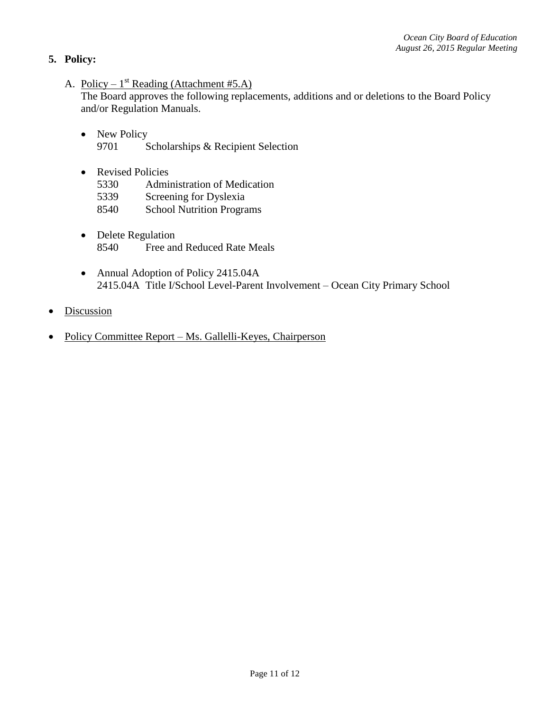# **5. Policy:**

A. Policy –  $1^{st}$  Reading (Attachment #5.A)

The Board approves the following replacements, additions and or deletions to the Board Policy and/or Regulation Manuals.

- New Policy 9701 Scholarships & Recipient Selection
- Revised Policies
	- 5330 Administration of Medication
	- 5339 Screening for Dyslexia
	- 8540 School Nutrition Programs
- Delete Regulation 8540 Free and Reduced Rate Meals
- Annual Adoption of Policy 2415.04A 2415.04A Title I/School Level-Parent Involvement – Ocean City Primary School
- **Discussion**
- Policy Committee Report Ms. Gallelli-Keyes, Chairperson